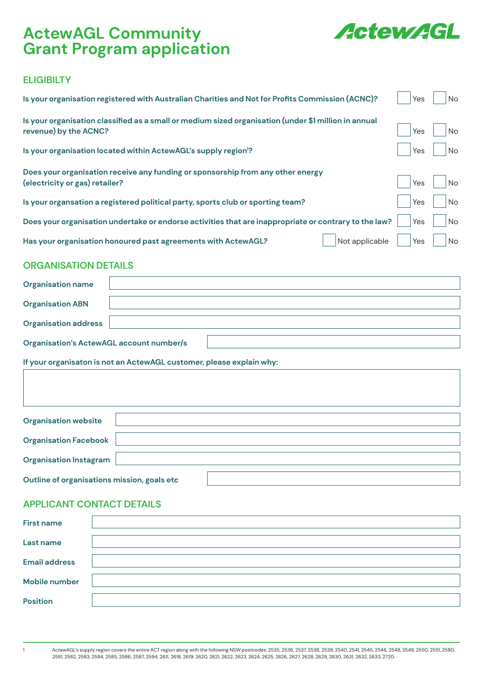# **ActewAGL Community Grant Program application**



## **ELIGIBILTY**

| Is your organisation registered with Australian Charities and Not for Profits Commission (ACNC)?                              | Yes | No        |
|-------------------------------------------------------------------------------------------------------------------------------|-----|-----------|
| Is your organisation classified as a small or medium sized organisation (under \$1 million in annual<br>revenue) by the ACNC? | Yes | <b>No</b> |
| Is your organisation located within ActewAGL's supply region <sup>1</sup> ?                                                   | Yes | No        |
| Does your organisation receive any funding or sponsorship from any other energy<br>(electricity or gas) retailer?             | Yes | No        |
| Is your organsation a registered political party, sports club or sporting team?                                               | Yes | No        |
| Does your organisation undertake or endorse activities that are inappropriate or contrary to the law?                         | Yes | No        |
| Not applicable<br>Has your organisation honoured past agreements with ActewAGL?                                               | Yes | No        |

### **ORGANISATION DETAILS**

| <b>Organisation name</b>                        |  |  |
|-------------------------------------------------|--|--|
| <b>Organisation ABN</b>                         |  |  |
| <b>Organisation address</b>                     |  |  |
| <b>Organisation's ActewAGL account number/s</b> |  |  |

**If your organisaton is not an ActewAGL customer, please explain why:**

| <b>Organisation website</b>                 |  |  |  |
|---------------------------------------------|--|--|--|
| <b>Organisation Facebook</b>                |  |  |  |
| <b>Organisation Instagram</b>               |  |  |  |
| Outline of organisations mission, goals etc |  |  |  |

## **APPLICANT CONTACT DETAILS**

| <b>First name</b>    |  |
|----------------------|--|
| Last name            |  |
| <b>Email address</b> |  |
| <b>Mobile number</b> |  |
| <b>Position</b>      |  |